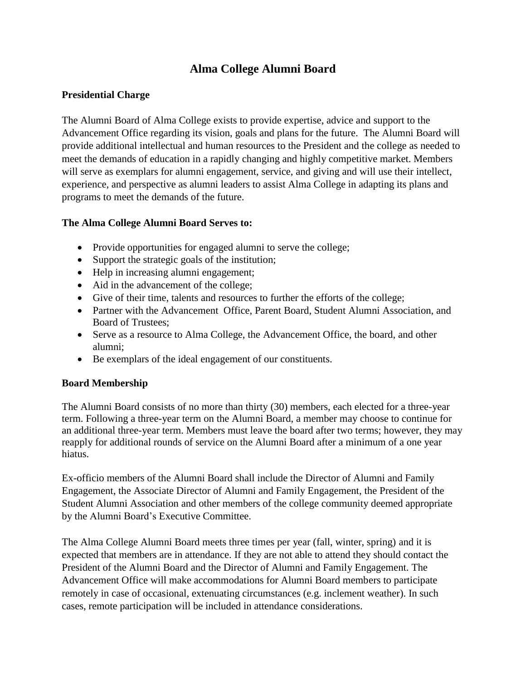# **Alma College Alumni Board**

## **Presidential Charge**

The Alumni Board of Alma College exists to provide expertise, advice and support to the Advancement Office regarding its vision, goals and plans for the future. The Alumni Board will provide additional intellectual and human resources to the President and the college as needed to meet the demands of education in a rapidly changing and highly competitive market. Members will serve as exemplars for alumni engagement, service, and giving and will use their intellect, experience, and perspective as alumni leaders to assist Alma College in adapting its plans and programs to meet the demands of the future.

### **The Alma College Alumni Board Serves to:**

- Provide opportunities for engaged alumni to serve the college;
- Support the strategic goals of the institution;
- Help in increasing alumni engagement;
- Aid in the advancement of the college;
- Give of their time, talents and resources to further the efforts of the college;
- Partner with the Advancement Office, Parent Board, Student Alumni Association, and Board of Trustees;
- Serve as a resource to Alma College, the Advancement Office, the board, and other alumni;
- Be exemplars of the ideal engagement of our constituents.

#### **Board Membership**

The Alumni Board consists of no more than thirty (30) members, each elected for a three-year term. Following a three-year term on the Alumni Board, a member may choose to continue for an additional three-year term. Members must leave the board after two terms; however, they may reapply for additional rounds of service on the Alumni Board after a minimum of a one year hiatus.

Ex-officio members of the Alumni Board shall include the Director of Alumni and Family Engagement, the Associate Director of Alumni and Family Engagement, the President of the Student Alumni Association and other members of the college community deemed appropriate by the Alumni Board's Executive Committee.

The Alma College Alumni Board meets three times per year (fall, winter, spring) and it is expected that members are in attendance. If they are not able to attend they should contact the President of the Alumni Board and the Director of Alumni and Family Engagement. The Advancement Office will make accommodations for Alumni Board members to participate remotely in case of occasional, extenuating circumstances (e.g. inclement weather). In such cases, remote participation will be included in attendance considerations.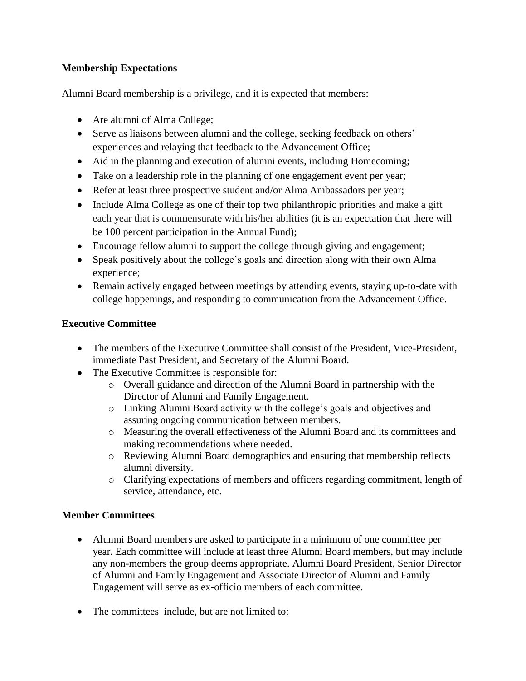# **Membership Expectations**

Alumni Board membership is a privilege, and it is expected that members:

- Are alumni of Alma College;
- Serve as liaisons between alumni and the college, seeking feedback on others' experiences and relaying that feedback to the Advancement Office;
- Aid in the planning and execution of alumni events, including Homecoming;
- Take on a leadership role in the planning of one engagement event per year;
- Refer at least three prospective student and/or Alma Ambassadors per year;
- Include Alma College as one of their top two philanthropic priorities and make a gift each year that is commensurate with his/her abilities (it is an expectation that there will be 100 percent participation in the Annual Fund);
- Encourage fellow alumni to support the college through giving and engagement;
- Speak positively about the college's goals and direction along with their own Alma experience;
- Remain actively engaged between meetings by attending events, staying up-to-date with college happenings, and responding to communication from the Advancement Office.

# **Executive Committee**

- The members of the Executive Committee shall consist of the President, Vice-President, immediate Past President, and Secretary of the Alumni Board.
- The Executive Committee is responsible for:
	- o Overall guidance and direction of the Alumni Board in partnership with the Director of Alumni and Family Engagement.
	- o Linking Alumni Board activity with the college's goals and objectives and assuring ongoing communication between members.
	- o Measuring the overall effectiveness of the Alumni Board and its committees and making recommendations where needed.
	- o Reviewing Alumni Board demographics and ensuring that membership reflects alumni diversity.
	- o Clarifying expectations of members and officers regarding commitment, length of service, attendance, etc.

### **Member Committees**

- Alumni Board members are asked to participate in a minimum of one committee per year. Each committee will include at least three Alumni Board members, but may include any non-members the group deems appropriate. Alumni Board President, Senior Director of Alumni and Family Engagement and Associate Director of Alumni and Family Engagement will serve as ex-officio members of each committee.
- The committees include, but are not limited to: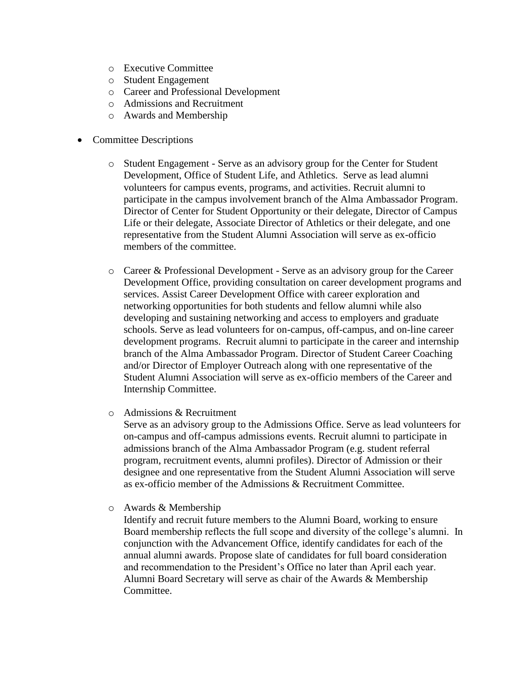- o Executive Committee
- o Student Engagement
- o Career and Professional Development
- o Admissions and Recruitment
- o Awards and Membership
- Committee Descriptions
	- o Student Engagement Serve as an advisory group for the Center for Student Development, Office of Student Life, and Athletics. Serve as lead alumni volunteers for campus events, programs, and activities. Recruit alumni to participate in the campus involvement branch of the Alma Ambassador Program. Director of Center for Student Opportunity or their delegate, Director of Campus Life or their delegate, Associate Director of Athletics or their delegate, and one representative from the Student Alumni Association will serve as ex-officio members of the committee.
	- o Career & Professional Development Serve as an advisory group for the Career Development Office, providing consultation on career development programs and services. Assist Career Development Office with career exploration and networking opportunities for both students and fellow alumni while also developing and sustaining networking and access to employers and graduate schools. Serve as lead volunteers for on-campus, off-campus, and on-line career development programs. Recruit alumni to participate in the career and internship branch of the Alma Ambassador Program. Director of Student Career Coaching and/or Director of Employer Outreach along with one representative of the Student Alumni Association will serve as ex-officio members of the Career and Internship Committee.
	- o Admissions & Recruitment

Serve as an advisory group to the Admissions Office. Serve as lead volunteers for on-campus and off-campus admissions events. Recruit alumni to participate in admissions branch of the Alma Ambassador Program (e.g. student referral program, recruitment events, alumni profiles). Director of Admission or their designee and one representative from the Student Alumni Association will serve as ex-officio member of the Admissions & Recruitment Committee.

o Awards & Membership

Identify and recruit future members to the Alumni Board, working to ensure Board membership reflects the full scope and diversity of the college's alumni. In conjunction with the Advancement Office, identify candidates for each of the annual alumni awards. Propose slate of candidates for full board consideration and recommendation to the President's Office no later than April each year. Alumni Board Secretary will serve as chair of the Awards & Membership Committee.